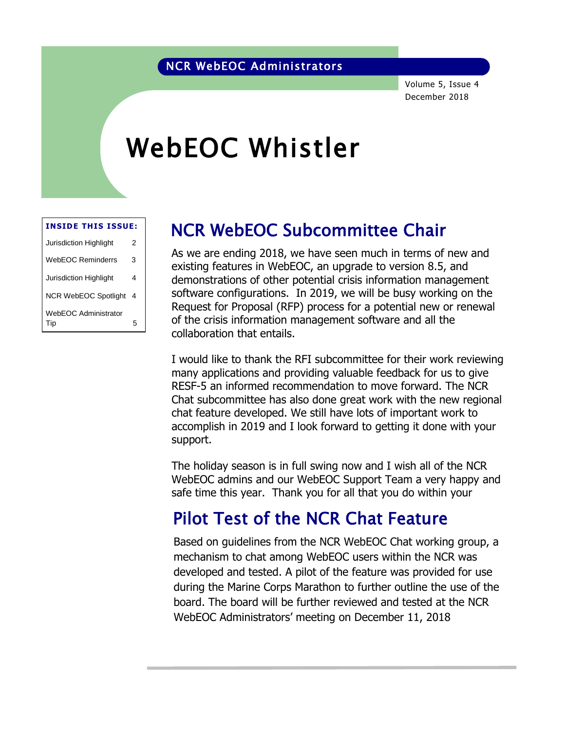Volume 5, Issue 4 December 2018

# WebEOC Whistler

| <b>INSIDE THIS ISSUE:</b>   |    |
|-----------------------------|----|
| Jurisdiction Highlight      | 2  |
| WebFOC Reminderrs           | з  |
| Jurisdiction Highlight      | 4  |
| <b>NCR WebEOC Spotlight</b> | -4 |
| WebFOC Administrator<br>Tip | 5  |

## NCR WebEOC Subcommittee Chair

As we are ending 2018, we have seen much in terms of new and existing features in WebEOC, an upgrade to version 8.5, and demonstrations of other potential crisis information management software configurations. In 2019, we will be busy working on the Request for Proposal (RFP) process for a potential new or renewal of the crisis information management software and all the collaboration that entails.

I would like to thank the RFI subcommittee for their work reviewing many applications and providing valuable feedback for us to give RESF-5 an informed recommendation to move forward. The NCR Chat subcommittee has also done great work with the new regional chat feature developed. We still have lots of important work to accomplish in 2019 and I look forward to getting it done with your support.

The holiday season is in full swing now and I wish all of the NCR WebEOC admins and our WebEOC Support Team a very happy and safe time this year. Thank you for all that you do within your

#### jurisdictions and for the region as a whole! Pilot Test of the NCR Chat Feature

Based on guidelines from the NCR WebEOC Chat working group, a mechanism to chat among WebEOC users within the NCR was developed and tested. A pilot of the feature was provided for use during the Marine Corps Marathon to further outline the use of the board. The board will be further reviewed and tested at the NCR WebEOC Administrators' meeting on December 11, 2018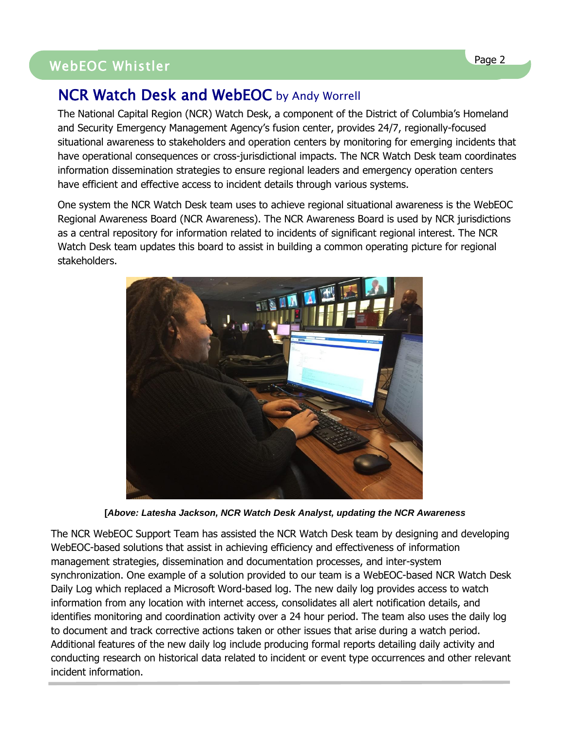# WebEOC Whistler Page 2 Page 2 WebEOC Whistler

#### NCR Watch Desk and WebEOC by Andy Worrell

The National Capital Region (NCR) Watch Desk, a component of the District of Columbia's Homeland and Security Emergency Management Agency's fusion center, provides 24/7, regionally-focused situational awareness to stakeholders and operation centers by monitoring for emerging incidents that have operational consequences or cross-jurisdictional impacts. The NCR Watch Desk team coordinates information dissemination strategies to ensure regional leaders and emergency operation centers have efficient and effective access to incident details through various systems.

One system the NCR Watch Desk team uses to achieve regional situational awareness is the WebEOC Regional Awareness Board (NCR Awareness). The NCR Awareness Board is used by NCR jurisdictions as a central repository for information related to incidents of significant regional interest. The NCR Watch Desk team updates this board to assist in building a common operating picture for regional stakeholders.



**[***Above: Latesha Jackson, NCR Watch Desk Analyst, updating the NCR Awareness*

The NCR WebEOC Support Team has assisted the NCR Watch Desk team by designing and developing WebEOC-based solutions that assist in achieving efficiency and effectiveness of information management strategies, dissemination and documentation processes, and inter-system synchronization. One example of a solution provided to our team is a WebEOC-based NCR Watch Desk Daily Log which replaced a Microsoft Word-based log. The new daily log provides access to watch information from any location with internet access, consolidates all alert notification details, and identifies monitoring and coordination activity over a 24 hour period. The team also uses the daily log to document and track corrective actions taken or other issues that arise during a watch period. Additional features of the new daily log include producing formal reports detailing daily activity and conducting research on historical data related to incident or event type occurrences and other relevant incident information.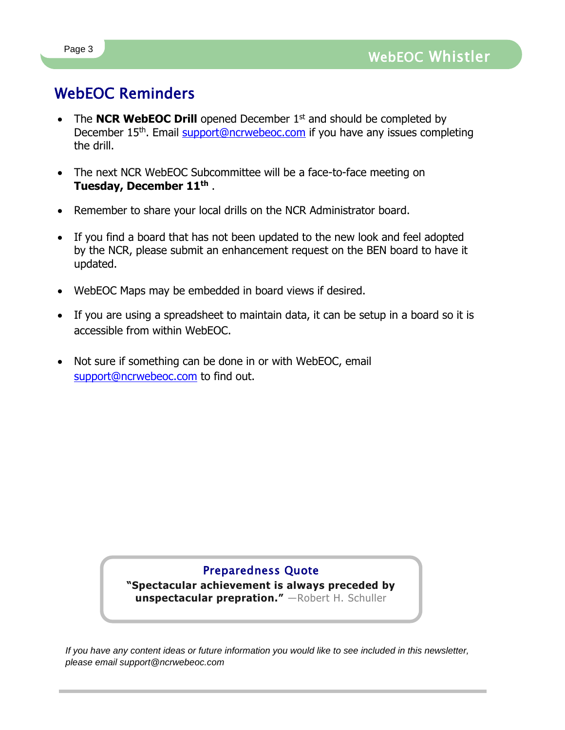#### WebEOC Reminders

- The **NCR WebEOC Drill** opened December 1<sup>st</sup> and should be completed by December 15<sup>th</sup>. Email [support@ncrwebeoc.com](mailto:support@ncrwebeoc.com) if you have any issues completing the drill.
- The next NCR WebEOC Subcommittee will be a face-to-face meeting on **Tuesday, December 11th** .
- Remember to share your local drills on the NCR Administrator board.
- If you find a board that has not been updated to the new look and feel adopted by the NCR, please submit an enhancement request on the BEN board to have it updated.
- WebEOC Maps may be embedded in board views if desired.
- If you are using a spreadsheet to maintain data, it can be setup in a board so it is accessible from within WebEOC.
- Not sure if something can be done in or with WebEOC, email [support@ncrwebeoc.com](mailto:support@ncrwebeoc.com) to find out.

#### Preparedness Quote

**"Spectacular achievement is always preceded by unspectacular prepration."** ―Robert H. Schuller

*If you have any content ideas or future information you would like to see included in this newsletter, please email support@ncrwebeoc.com*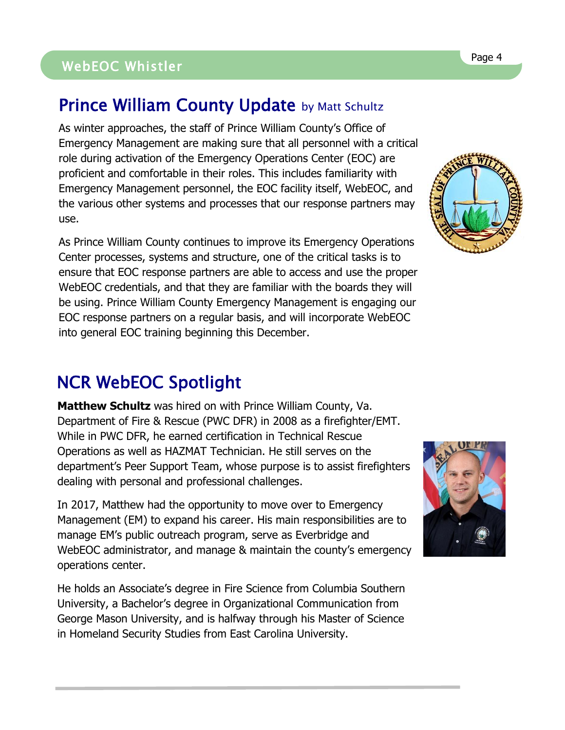# Page <sup>4</sup> WebEOC Whistler

#### Prince William County Update by Matt Schultz

As winter approaches, the staff of Prince William County's Office of Emergency Management are making sure that all personnel with a critical role during activation of the Emergency Operations Center (EOC) are proficient and comfortable in their roles. This includes familiarity with Emergency Management personnel, the EOC facility itself, WebEOC, and the various other systems and processes that our response partners may use.

As Prince William County continues to improve its Emergency Operations Center processes, systems and structure, one of the critical tasks is to ensure that EOC response partners are able to access and use the proper WebEOC credentials, and that they are familiar with the boards they will be using. Prince William County Emergency Management is engaging our EOC response partners on a regular basis, and will incorporate WebEOC into general EOC training beginning this December.

## NCR WebEOC Spotlight

**Matthew Schultz** was hired on with Prince William County, Va. Department of Fire & Rescue (PWC DFR) in 2008 as a firefighter/EMT. While in PWC DFR, he earned certification in Technical Rescue Operations as well as HAZMAT Technician. He still serves on the department's Peer Support Team, whose purpose is to assist firefighters dealing with personal and professional challenges.

In 2017, Matthew had the opportunity to move over to Emergency Management (EM) to expand his career. His main responsibilities are to manage EM's public outreach program, serve as Everbridge and WebEOC administrator, and manage & maintain the county's emergency operations center.

He holds an Associate's degree in Fire Science from Columbia Southern University, a Bachelor's degree in Organizational Communication from George Mason University, and is halfway through his Master of Science in Homeland Security Studies from East Carolina University.

They enjoy traveling up and down the East Coast visiting family in New England and



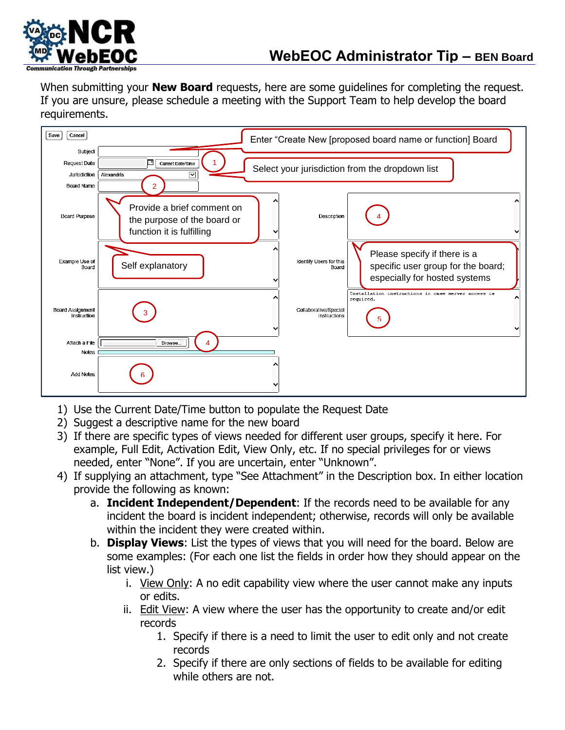

When submitting your **New Board** requests, here are some guidelines for completing the request. If you are unsure, please schedule a meeting with the Support Team to help develop the board requirements.



- 1) Use the Current Date/Time button to populate the Request Date
- 2) Suggest a descriptive name for the new board
- 3) If there are specific types of views needed for different user groups, specify it here. For example, Full Edit, Activation Edit, View Only, etc. If no special privileges for or views needed, enter "None". If you are uncertain, enter "Unknown".
- 4) If supplying an attachment, type "See Attachment" in the Description box. In either location provide the following as known:
	- a. **Incident Independent/Dependent**: If the records need to be available for any incident the board is incident independent; otherwise, records will only be available within the incident they were created within.
	- b. **Display Views**: List the types of views that you will need for the board. Below are some examples: (For each one list the fields in order how they should appear on the list view.)
		- i. View Only: A no edit capability view where the user cannot make any inputs or edits.
		- ii. Edit View: A view where the user has the opportunity to create and/or edit records
			- 1. Specify if there is a need to limit the user to edit only and not create records
			- 2. Specify if there are only sections of fields to be available for editing while others are not.